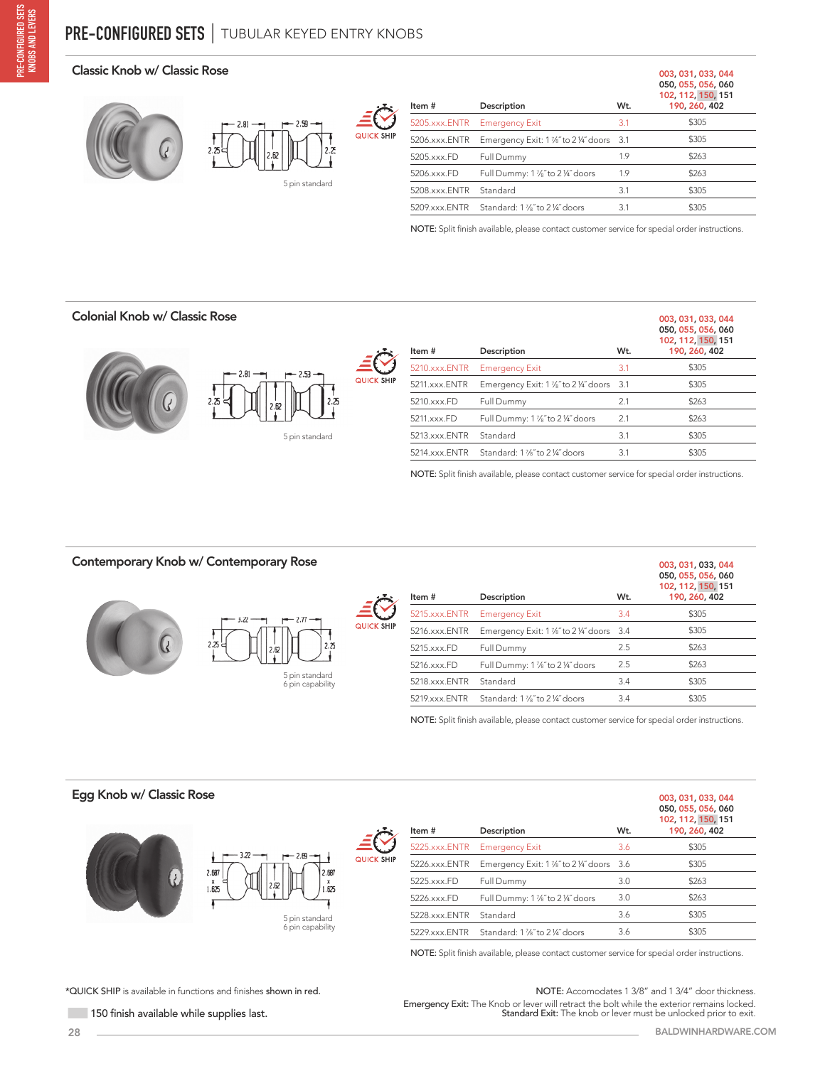#### Classic Knob w/ Classic Rose





| Item #            | Description                                             | W <sub>t.</sub> | 003, 031, 033, 044<br>050, 055, 056, 060<br>102, 112, 150, 151<br>190, 260, 402 |
|-------------------|---------------------------------------------------------|-----------------|---------------------------------------------------------------------------------|
| $5205$ .xxx. ENTR | <b>Emergency Exit</b>                                   | 3.1             | \$305                                                                           |
| 5206.xxx.ENTR     | Emergency Exit: 1 1/ <sub>8</sub> " to 2 1/4" doors 3.1 |                 | \$305                                                                           |
| 5205.xxx.FD       | Full Dummy                                              | 1.9             | \$263                                                                           |
| 5206.xxx.FD       | Full Dummy: 1 1/ <sub>8</sub> " to 2 1/4" doors         | 1.9             | \$263                                                                           |
| 5208.xxx.ENTR     | Standard                                                | 3.1             | \$305                                                                           |
| 5209 xxx ENTR     | Standard: 1 %" to 2 ¼" doors                            | 3.1             | \$305                                                                           |
|                   |                                                         |                 |                                                                                 |

NOTE: Split finish available, please contact customer service for special order instructions.

# Colonial Knob w/ Classic Rose



| Item #              | Description                                   | W <sub>t.</sub> | 003, 031, 033, 044<br>050, 055, 056, 060<br>102, 112, 150, 151<br>190, 260, 402 |
|---------------------|-----------------------------------------------|-----------------|---------------------------------------------------------------------------------|
| $5210$ x x $x$ ENTR | <b>Emergency Exit</b>                         | 3.1             | \$305                                                                           |
| 5211.xxx.ENTR       | Emergency Exit: 1 %" to 2 %" doors 3.1        |                 | \$305                                                                           |
| 5210.xxx.FD         | Full Dummy                                    | 2.1             | \$263                                                                           |
| 5211.xxx.FD         | Full Dummy: 1 1/8" to 2 1/4" doors            | 2.1             | \$263                                                                           |
| 5213.xxx.ENTR       | Standard                                      | 3.1             | \$305                                                                           |
| 5214.xxx.ENTR       | Standard: 1 1/ <sub>8</sub> " to 2 1/4" doors | 3.1             | \$305                                                                           |

NOTE: Split finish available, please contact customer service for special order instructions.

#### Contemporary Knob w/ Contemporary Rose



| Item#            | Description                                     | W <sub>t.</sub> | 003, 031, 033, 044<br>050, 055, 056, 060<br>102, 112, 150, 151<br>190, 260, 402 |
|------------------|-------------------------------------------------|-----------------|---------------------------------------------------------------------------------|
| $5215$ xxx. ENTR | <b>Emergency Exit</b>                           | 3.4             | \$305                                                                           |
| 5216.xxx.ENTR    | Emergency Exit: 1 1/8" to 2 1/4" doors 3.4      |                 | \$305                                                                           |
| 5215.xxx.FD      | Full Dummy                                      | 2.5             | \$263                                                                           |
| 5216.xxx.FD      | Full Dummy: 1 1/ <sub>8</sub> " to 2 1/4" doors | 2.5             | \$263                                                                           |
| 5218.xxx.ENTR    | Standard                                        | 3.4             | \$305                                                                           |
| 5219.xxx.ENTR    | Standard: 1 1/8" to 2 1/4" doors                | 3.4             | \$305                                                                           |
|                  |                                                 |                 |                                                                                 |

NOTE: Split finish available, please contact customer service for special order instructions.

#### Egg Knob w/ Classic Rose





6 pin capability



Item # Description Wt. 050, 055, 056, 060 102, 112, 150, 151 190, 260, 402 5225.xxx.ENTR Emergency Exit 3.6 \$305 5226.xxx.ENTR Emergency Exit: 1 %" to 2 %" doors 3.6 \$305 5225.xxx.FD Full Dummy 3.0 \$263 5226.xxx.FD Full Dummy: 1 7⁄8˝ to 2 ¼˝ doors 3.0 \$263 5228.xxx.ENTR Standard 3.6 \$305 5229.xxx.ENTR Standard: 1 %" to 2 ¼" doors 3.6 \$305

NOTE: Split finish available, please contact customer service for special order instructions.

\*QUICK SHIP is available in functions and finishes shown in red.

150 finish available while supplies last.

Emergency Exit: The Knob or lever will retract the bolt while the exterior remains locked. Standard Exit: The knob or lever must be unlocked prior to exit. NOTE: Accomodates 1 3/8" and 1 3/4" door thickness.

003, 031, 033, 044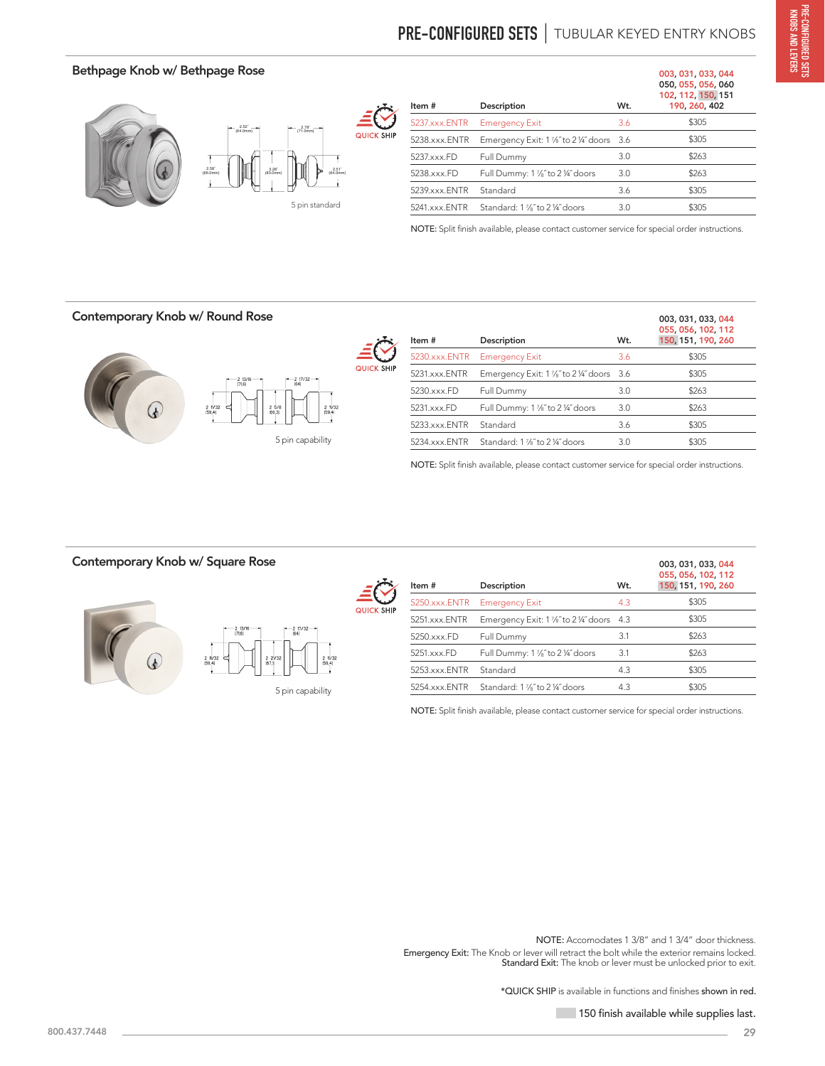# **PRE-CONFIGURED SETS** | TUBULAR KEYED ENTRY KNOBS

## Bethpage Knob w/ Bethpage Rose



| Item #        | Description                                             | W <sub>t</sub> . | 003, 031, 033, 044<br>050, 055, 056, 060<br>102, 112, 150, 151<br>190, 260, 402 |
|---------------|---------------------------------------------------------|------------------|---------------------------------------------------------------------------------|
| 5237.xxx.ENTR | <b>Emergency Exit</b>                                   | 3.6              | \$305                                                                           |
| 5238.xxx.ENTR | Emergency Exit: 1 1/ <sub>8</sub> " to 2 1/4" doors 3.6 |                  | \$305                                                                           |
| 5237.xxx.FD   | Full Dummy                                              | 3.0              | \$263                                                                           |
| 5238.xxx.FD   | Full Dummy: 1 1/ <sub>8</sub> " to 2 1/4" doors         | 3.0              | \$263                                                                           |
| 5239.xxx.ENTR | Standard                                                | 3.6              | \$305                                                                           |
| 5241.xxx.ENTR | Standard: 1 %" to 2 ¼" doors                            | 3.0              | \$305                                                                           |
|               |                                                         |                  |                                                                                 |

NOTE: Split finish available, please contact customer service for special order instructions.

#### Contemporary Knob w/ Round Rose



| Item #        | Description                                             | W <sub>t</sub> . | 003, 031, 033, 044<br>055, 056, 102, 112<br>150, 151, 190, 260 |
|---------------|---------------------------------------------------------|------------------|----------------------------------------------------------------|
| 5230.xxx.ENTR | <b>Emergency Exit</b>                                   | 3.6              | \$305                                                          |
| 5231.xxx.ENTR | Emergency Exit: 1 1/ <sub>8</sub> " to 2 1/4" doors 3.6 |                  | \$305                                                          |
| 5230.xxx.FD   | Full Dummy                                              | 3.0              | \$263                                                          |
| 5231.xxx.FD   | Full Dummy: 1 1/ <sub>8</sub> " to 2 1/4" doors         | 3.0              | \$263                                                          |
| 5233.xxx.ENTR | Standard                                                | 3.6              | \$305                                                          |
| 5234.xxx.ENTR | Standard: 1 1/8" to 2 1/4" doors                        | 3.0              | \$305                                                          |
|               |                                                         |                  |                                                                |

NOTE: Split finish available, please contact customer service for special order instructions.

### Contemporary Knob w/ Square Rose





|                 | 217/32<br>[64] |                    |  |
|-----------------|----------------|--------------------|--|
| 2 21/32<br>67.1 |                | 2 11/32<br>[59, 4] |  |

<sup>5</sup> pin capability

| Item#         | Description                                     | W <sub>t</sub> . | 003, 031, 033, 044<br>055, 056, 102, 112<br>150, 151, 190, 260 |
|---------------|-------------------------------------------------|------------------|----------------------------------------------------------------|
| 5250.xxx.ENTR | <b>Emergency Exit</b>                           | 4.3              | \$305                                                          |
| 5251.xxx.ENTR | Emergency Exit: 1 %" to 2 %" doors 4.3          |                  | \$305                                                          |
| 5250.xxx.FD   | Full Dummy                                      | 3.1              | \$263                                                          |
| 5251.xxx.FD   | Full Dummy: 1 1/ <sub>8</sub> " to 2 1/4" doors | 3.1              | \$263                                                          |
| 5253.xxx.ENTR | Standard                                        | 4.3              | \$305                                                          |
| 5254.xxx.ENTR | Standard: 1 1/ <sub>8</sub> " to 2 1/4" doors   | 4.3              | \$305                                                          |

NOTE: Split finish available, please contact customer service for special order instructions.

Emergency Exit: The Knob or lever will retract the bolt while the exterior remains locked. Standard Exit: The knob or lever must be unlocked prior to exit. NOTE: Accomodates 1 3/8" and 1 3/4" door thickness.

\*QUICK SHIP is available in functions and finishes shown in red.

150 finish available while supplies last.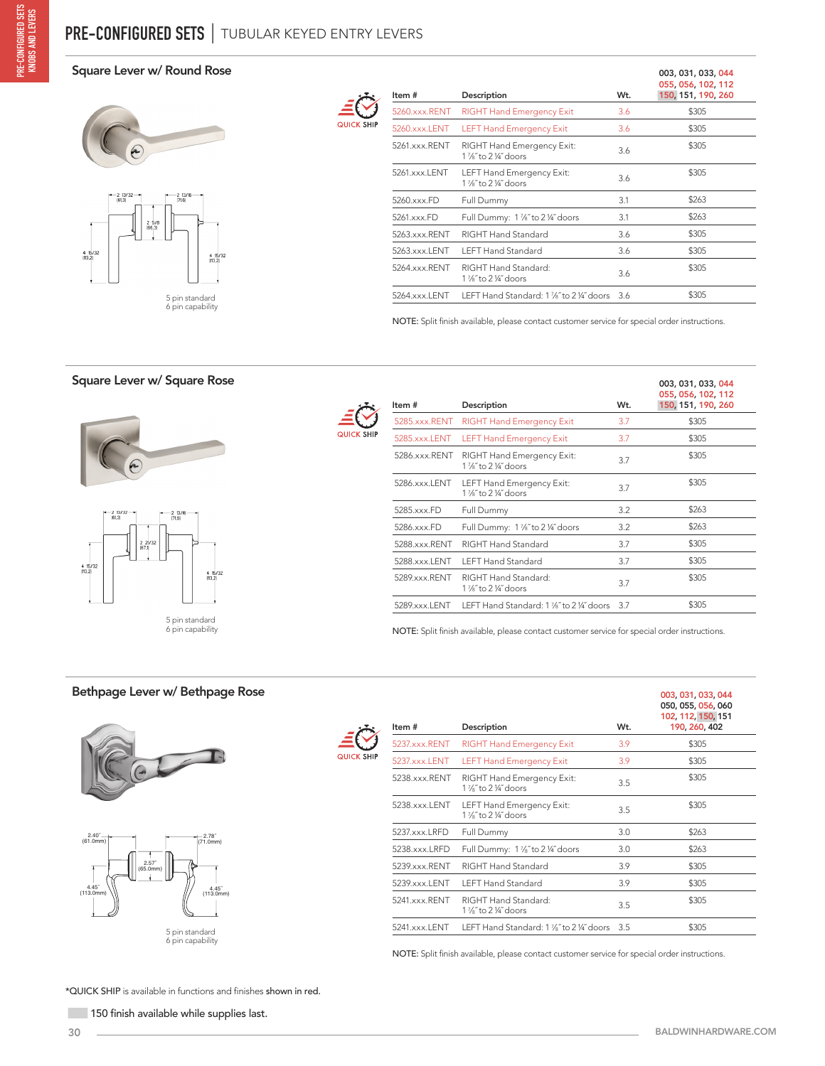#### Square Lever w/ Round Rose



5 pin standard 6 pin capability

| CK SH <b>I</b> P<br>u |
|-----------------------|

| Item #        | Description                                                             | Wt. | 003, 031, 033, 044<br>055, 056, 102, 112<br>150, 151, 190, 260 |
|---------------|-------------------------------------------------------------------------|-----|----------------------------------------------------------------|
| 5260.xxx.RENT | <b>RIGHT Hand Emergency Exit</b>                                        | 3.6 | \$305                                                          |
| 5260.xxx.LENT | <b>LEFT Hand Emergency Exit</b>                                         | 3.6 | \$305                                                          |
| 5261.xxx.RENT | RIGHT Hand Emergency Exit:<br>$1\frac{1}{2}$ to $2\frac{1}{4}$ doors    | 3.6 | \$305                                                          |
| 5261.xxx.LENT | <b>LEFT Hand Emergency Exit:</b><br>1 1/ <sub>8</sub> " to 2 1/4" doors | 3.6 | \$305                                                          |
| 5260.xxx.FD   | Full Dummy                                                              | 3.1 | \$263                                                          |
| 5261.xxx.FD   | Full Dummy: 1 %" to 2 ¼" doors                                          | 3.1 | \$263                                                          |
| 5263.xxx.RENT | RIGHT Hand Standard                                                     | 3.6 | \$305                                                          |
| 5263.xxx.LENT | <b>LEFT Hand Standard</b>                                               | 3.6 | \$305                                                          |
| 5264.xxx.RENT | RIGHT Hand Standard:<br>$1\frac{7}{8}$ to $2\frac{1}{4}$ doors          | 3.6 | \$305                                                          |
| 5264.xxx.LENT | LEFT Hand Standard: 1 %" to 2 %" doors 3.6                              |     | \$305                                                          |

NOTE: Split finish available, please contact customer service for special order instructions.

### Square Lever w/ Square Rose





| Item #        | Description                                                          | Wt. | 003, 031, 033, 044<br>055, 056, 102, 112<br>150, 151, 190, 260 |
|---------------|----------------------------------------------------------------------|-----|----------------------------------------------------------------|
| 5285.xxx.RENT | <b>RIGHT Hand Emergency Exit</b>                                     | 3.7 | \$305                                                          |
| 5285.xxx.LENT | <b>LEFT Hand Emergency Exit</b>                                      | 3.7 | \$305                                                          |
| 5286.xxx.RENT | RIGHT Hand Emergency Exit:<br>$1\frac{7}{8}$ to $2\frac{1}{4}$ doors | 3.7 | \$305                                                          |
| 5286.xxx.LENT | LEFT Hand Emergency Exit:<br>1 %" to 2 %" doors                      | 3.7 | \$305                                                          |
| 5285.xxx.FD   | Full Dummy                                                           | 3.2 | \$263                                                          |
| 5286.xxx.FD   | Full Dummy: 1 1/ <sub>6</sub> " to 2 1/4" doors                      | 3.2 | \$263                                                          |
| 5288.xxx.RENT | RIGHT Hand Standard                                                  | 3.7 | \$305                                                          |
| 5288.xxx.LENT | <b>LEFT Hand Standard</b>                                            | 3.7 | \$305                                                          |
| 5289.xxx.RENT | RIGHT Hand Standard:<br>1 %" to 2 ¼" doors                           | 3.7 | \$305                                                          |
| 5289.xxx.LENT | LEFT Hand Standard: 1 1/ <sub>8</sub> " to 2 1/4" doors              | 3.7 | \$305                                                          |

NOTE: Split finish available, please contact customer service for special order instructions.

#### Bethpage Lever w/ Bethpage Rose





| Item#            | Description                                                           | W <sub>t.</sub> | 003, 031, 033, 044<br>050, 055, 056, 060<br>102, 112, 150, 151<br>190, 260, 402 |
|------------------|-----------------------------------------------------------------------|-----------------|---------------------------------------------------------------------------------|
| $5237.xxx$ .RENT | <b>RIGHT Hand Emergency Exit</b>                                      | 3.9             | \$305                                                                           |
| 5237.xxx.LENT    | <b>LEFT Hand Emergency Exit</b>                                       | 3.9             | \$305                                                                           |
| 5238.xxx.RENT    | RIGHT Hand Emergency Exit:<br>$1\frac{7}{8}$ to 2 $\frac{1}{4}$ doors | 3.5             | \$305                                                                           |
| 5238.xxx.LENT    | LEFT Hand Emergency Exit:<br>1 %" to 2 %" doors                       | 3.5             | \$305                                                                           |
| 5237.xxx.LRFD    | Full Dummy                                                            | 3.0             | \$263                                                                           |
| 5238.xxx.LRFD    | Full Dummy: 1 1/ <sub>8</sub> " to 2 1/4" doors                       | 3.0             | \$263                                                                           |
| 5239 xxx RENT    | RIGHT Hand Standard                                                   | 3.9             | \$305                                                                           |
| 5239.xxx.LENT    | <b>LEFT Hand Standard</b>                                             | 3.9             | \$305                                                                           |
| 5241.xxx.RENT    | RIGHT Hand Standard:<br>$1\frac{7}{8}$ to 2 $\frac{1}{4}$ doors       | 3.5             | \$305                                                                           |
| 5241.xxx.LENT    | LEFT Hand Standard: 1 1/8" to 2 1/4" doors                            | 3.5             | \$305                                                                           |

NOTE: Split finish available, please contact customer service for special order instructions.

\*QUICK SHIP is available in functions and finishes shown in red.

150 finish available while supplies last.